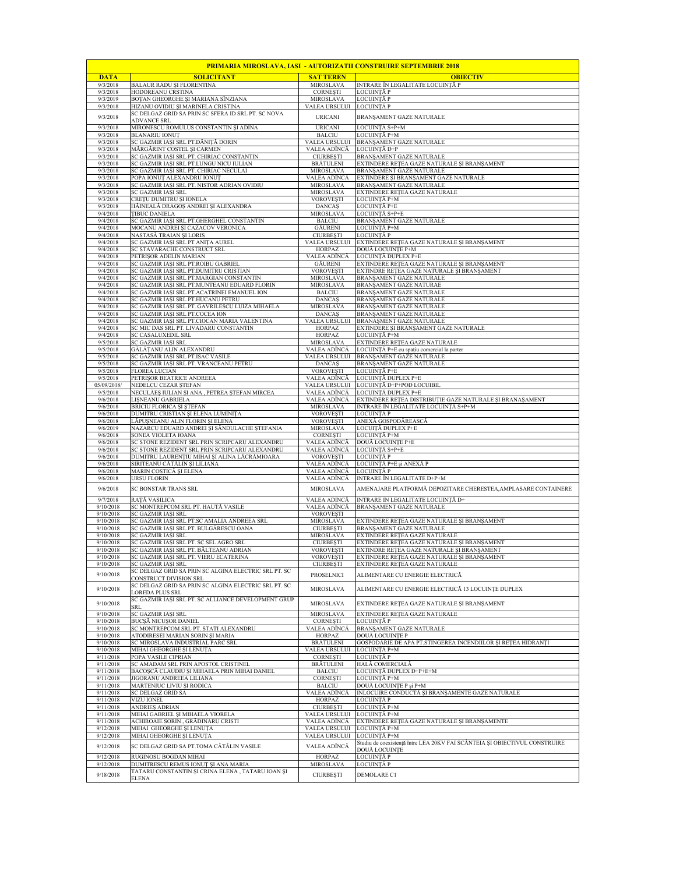| <b>PRIMARIA MIROSLAVA, IASI - AUTORIZATII CONSTRUIRE SEPTEMBRIE 2018</b> |                                                                                          |                                      |                                                                                             |  |  |
|--------------------------------------------------------------------------|------------------------------------------------------------------------------------------|--------------------------------------|---------------------------------------------------------------------------------------------|--|--|
| <b>DATA</b>                                                              | <b>SOLICITANT</b>                                                                        | <b>SAT TEREN</b>                     | <b>OBIECTIV</b>                                                                             |  |  |
| 9/3/2018<br>9/3/2018                                                     | <b>BALAUR RADU ȘI FLORENTINA</b><br>HODOREANU CRSTINA                                    | MIROSLAVA<br><b>CORNESTI</b>         | INTRARE ÎN LEGALITATE LOCUINȚĂ P<br>LOCUINȚĂ P                                              |  |  |
| 9/3/2019                                                                 | BOTAN GHEORGHE SI MARIANA SÎNZIANA                                                       | <b>MIROSLAVA</b>                     | LOCUINȚĂ P                                                                                  |  |  |
| 9/3/2018                                                                 | HIZANU OVIDIU ȘI MARINELA CRISTINA<br>SC DELGAZ GRID SA PRIN SC SFERA ID SRL PT. SC NOVA | VALEA URSULUI                        | LOCUINȚĂ P                                                                                  |  |  |
| 9/3/2018                                                                 | <b>ADVANCE SRL</b>                                                                       | <b>URICANI</b>                       | BRANȘAMENT GAZE NATURALE                                                                    |  |  |
| 9/3/2018                                                                 | MIRONESCU ROMULUS CONSTANTIN ȘI ADINA                                                    | <b>URICANI</b>                       | LOCUINȚĂ S+P+M                                                                              |  |  |
| 9/3/2018<br>9/3/2018                                                     | <b>BLANARIU IONUT</b><br>SC GAZMIR IAȘI SRL PT.DĂNIȚĂ DORIN                              | <b>BALCIU</b><br>VALEA URSULUI       | LOCUINȚĂ P+M<br>BRANŞAMENT GAZE NATURALE                                                    |  |  |
| 9/3/2018                                                                 | MĂRGĂRINT COSTEL ȘI CARMEN                                                               | VALEA ADÎNCĂ                         | LOCUINȚĂ D+P                                                                                |  |  |
| 9/3/2018<br>9/3/2018                                                     | SC GAZMIR IAȘI SRL PT. CHIRIAC CONSTANTIN<br>SC GAZMIR IAȘI SRL PT.LUNGU NICU IULIAN     | <b>CIURBEȘTI</b><br><b>BRĂTULENI</b> | BRANŞAMENT GAZE NATURALE<br>EXTINDERE REȚEA GAZE NATURALE ȘI BRANȘAMENT                     |  |  |
| 9/3/2018                                                                 | SC GAZMIR IASI SRL PT. CHIRIAC NECULAI                                                   | <b>MIROSLAVA</b>                     | BRANSAMENT GAZE NATURALE                                                                    |  |  |
| 9/3/2018<br>9/3/2018                                                     | POPA IONUȚ ALEXANDRU IONUȚ<br>SC GAZMIR IAȘI SRL PT. NISTOR ADRIAN OVIDIU                | VALEA ADÎNCĂ<br><b>MIROSLAVA</b>     | EXTINDERE ȘI BRANȘAMENT GAZE NATURALE<br>BRANSAMENT GAZE NATURALE                           |  |  |
| 9/3/2018                                                                 | SC GAZMIR IAȘI SRL                                                                       | MIROSLAVA                            | EXTINDERE RETEA GAZE NATURALE                                                               |  |  |
| 9/3/2018<br>9/3/2018                                                     | CREȚU DUMITRU ȘI IONELA<br>HĂINEALĂ DRAGOS ANDREI ȘI ALEXANDRA                           | <b>VOROVEȘTI</b><br><b>DANCAS</b>    | LOCUINTĂ P+M                                                                                |  |  |
| 9/4/2018                                                                 | <b>TIBUC DANIELA</b>                                                                     | <b>MIROSLAVA</b>                     | LOCUINȚĂ P+E<br>LOCUINȚĂ S+P+E                                                              |  |  |
| 9/4/2018                                                                 | SC GAZMIR IAȘI SRL PT.GHERGHEL CONSTANTIN                                                | <b>BALCIU</b>                        | BRANSAMENT GAZE NATURALE                                                                    |  |  |
| 9/4/2018<br>9/4/2018                                                     | MOCANU ANDREI ȘI CAZACOV VERONICA<br>NASTASĂ TRAIAN ȘI LORIS                             | <b>GĂURENI</b><br><b>CIURBESTI</b>   | LOCUINȚĂ P+M<br>LOCUINȚĂ P                                                                  |  |  |
| 9/4/2018                                                                 | SC GAZMIR IAȘI SRL PT ANIȚA AUREL                                                        | VALEA URSULUI                        | EXTINDERE REȚEA GAZE NATURALE ȘI BRANȘAMENT                                                 |  |  |
| 9/4/2018<br>9/4/2018                                                     | SC STAVARACHE CONSTRUCT SRL<br>PETRISOR ADELIN MARIAN                                    | <b>HORPAZ</b><br>VALEA ADÎNCĂ        | DOUĂ LOCUINTE P+M<br>LOCUINȚĂ DUPLEX P+E                                                    |  |  |
| 9/4/2018                                                                 | SC GAZMIR IAȘI SRL PT.ROIBU GABRIEL                                                      | GĂURENI                              | EXTINDERE REȚEA GAZE NATURALE ȘI BRANȘAMENT                                                 |  |  |
| 9/4/2018<br>9/4/2018                                                     | SC GAZMIR IAȘI SRL PT.DUMITRU CRISTIAN<br>SC GAZMIR IAȘI SRL PT.MARGIAN CONSTANTIN       | <b>VOROVESTI</b><br><b>MIROSLAVA</b> | EXTINDRE REȚEA GAZE NATURALE ȘI BRANȘAMENT<br><b>BRANSAMENT GAZE NATURALE</b>               |  |  |
| 9/4/2018                                                                 | SC GAZMIR IAȘI SRL PT.MUNTEANU EDUARD FLORIN                                             | <b>MIROSLAVA</b>                     | BRANŞAMENT GAZE NATURAE                                                                     |  |  |
| 9/4/2018                                                                 | SC GAZMIR IAȘI SRL PT.ACATRINEI EMANUEL ION                                              | <b>BALCIU</b>                        | BRANŞAMENT GAZE NATURALE                                                                    |  |  |
| 9/4/2018<br>9/4/2018                                                     | SC GAZMIR IASI SRL PT.HUCANU PETRU<br>SC GAZMIR IAȘI SRL PT. GAVRILESCU LUIZA MIHAELA    | <b>DANCAS</b><br><b>MIROSLAVA</b>    | BRANSAMENT GAZE NATURALE<br>BRANŞAMENT GAZE NATURALE                                        |  |  |
| 9/4/2018                                                                 | SC GAZMIR IAȘI SRL PT.COCEA ION                                                          | <b>DANCAS</b>                        | BRANSAMENT GAZE NATURALE                                                                    |  |  |
| 9/4/2018<br>9/4/2018                                                     | SC GAZMIR IAȘI SRL PT.CIOCAN MARIA VALENTINA<br>SC MIC DAS SRL PT. LIVADARU CONSTANTIN   | VALEA URSULUI<br><b>HORPAZ</b>       | BRANAŞMENT GAZE NATURALE<br>EXTINDERE ȘI BRANȘAMENT GAZE NATURALE                           |  |  |
| 9/4/2018                                                                 | <b>SC CASALUXEDIL SRL</b>                                                                | <b>HORPAZ</b>                        | LOCUINȚĂ P+M                                                                                |  |  |
| 9/5/2018<br>9/5/2018                                                     | <b>SC GAZMIR IASI SRL</b><br>GĂLĂȚANU ALIN ALEXANDRU                                     | MIROSLAVA<br>VALEA ADÎNCĂ            | EXTINDERE RETEA GAZE NATURALE<br>LOCUINȚĂ P+E cu spațiu comercial la parter                 |  |  |
| 9/5/2018                                                                 | SC GAZMIR IASI SRL PT.ISAC VASILE                                                        | VALEA URSULUI                        | BRANSAMENT GAZE NATURALE                                                                    |  |  |
| 9/5/2018<br>9/5/2018                                                     | SC GAZMIR IAȘI SRL PT. VRÂNCEANU PETRU<br><b>FLOREA LUCIAN</b>                           | <b>DANCAS</b><br><b>VOROVEȘTI</b>    | BRANŞAMENT GAZE NATURALE<br>LOCUINȚĂ P+E                                                    |  |  |
| 9/5/2018                                                                 | PETRIȘOR BEATRICE ANDREEA                                                                | VALEA ADÎNCĂ                         | LOCUINȚĂ DUPLEX P+E                                                                         |  |  |
| 05/09/2018/<br>9/5/2018                                                  | NEDELCU CEZAR ȘTEFAN<br>NECULĂES IULIAN ȘI ANA, PETREA STEFAN MIRCEA                     | VALEA URSULUI<br>VALEA ADÎNCĂ        | LOCUINȚĂ D+P+POD LOCUIBIL<br>LOCUINȚĂ DUPLEX P+E                                            |  |  |
| 9/6/2018                                                                 | LIŞNEANU GABRIELA                                                                        | VALEA ADÎNCĂ                         | EXTINDERE REȚEA DISTRIBUȚIE GAZE NATURALE ȘI BRANAȘAMENT                                    |  |  |
| 9/6/2018                                                                 | BRICIU FLORICA ȘI ȘTEFAN                                                                 | MIROSLAVA                            | INTRARE ÎN LEGALITATE LOCUINȚĂ S+P+M                                                        |  |  |
| 9/6/2018<br>9/6/2018                                                     | DUMITRU CRISTIAN ȘI ELENA LUMINIȚA<br>LĂPUȘNEANU ALIN FLORIN ȘI ELENA                    | <b>VOROVEȘTI</b><br><b>VOROVEȘTI</b> | LOCUINȚĂ P<br>ANEXĂ GOSPODĂREASCĂ                                                           |  |  |
| 9/6/2019                                                                 | NAZARCU EDUARD ANDREI ȘI SĂNDULACHE ȘTEFANIA                                             | <b>MIROSLAVA</b>                     | LOCUIȚĂ DUPLEX P+E                                                                          |  |  |
| 9/6/2018<br>9/6/2018                                                     | SONEA VIOLETA IOANA<br>SC STONE REZIDENT SRL PRIN SCRIPCARU ALEXANDRU                    | <b>CORNESTI</b><br>VALEA ADÎNCĂ      | LOCUINȚĂ P+M<br>DOUĂ LOCUINȚE P+E                                                           |  |  |
| 9/6/2018                                                                 | SC STONE REZIDENT SRL PRIN SCRIPCARU ALEXANDRU                                           | VALEA ADÎNCĂ                         | LOCUINȚĂ S+P+E                                                                              |  |  |
| 9/6/2018<br>9/6/2018                                                     | DUMITRU LAURENȚIU MIHAI ȘI ALINA LĂCRĂMIOARA<br>SIRITEANU CĂTĂLIN ȘI LILIANA             | <b>VOROVESTI</b><br>VALEA ADÎNCĂ     | LOCUINȚĂ P<br>LOCUINȚĂ P+E și ANEXĂ P                                                       |  |  |
| 9/6/2018                                                                 | MARIN COSTICĂ ȘI ELENA                                                                   | VALEA ADÎNCĂ                         | LOCUINȚĂ P                                                                                  |  |  |
| 9/6/2018                                                                 | <b>URSU FLORIN</b>                                                                       | VALEA ADÎNCĂ                         | INTRARE ÎN LEGALITATE D+P+M                                                                 |  |  |
| 9/6/2018                                                                 | SC BONSTAR TRANS SRL                                                                     | <b>MIROSLAVA</b>                     | AMENAJARE PLATFORMĂ DEPOZITARE CHERESTEA,AMPLASARE CONTAINERE                               |  |  |
| 9/7/2018<br>9/10/2018                                                    | RAȚĂ VASILICA<br>SC MONTREPCOM SRL PT. HAUTĂ VASILE                                      | VALEA ADINCĂ<br>VALEA ADÎNCĂ         | INTRARE IN LEGALITATE LOCUINȚĂ D+<br>BRANSAMENT GAZE NATURALE                               |  |  |
| 9/10/2018                                                                | <b>SC GAZMIR IASI SRL</b>                                                                | <b>VOROVEȘTI</b>                     |                                                                                             |  |  |
| 9/10/2018<br>9/10/2018                                                   | SC GAZMIR IAȘI SRL PT.SC AMALIA ANDREEA SRL<br>SC GAZMIR IAȘI SRL PT. BULGĂRESCU OANA    | <b>MIROSLAVA</b><br><b>CIURBEȘTI</b> | EXTINDERE REȚEA GAZE NATURALE ȘI BRANȘAMENT<br>BRANSAMENT GAZE NATURALE                     |  |  |
| 9/10/2018                                                                | SC GAZMIR IAȘI SRL                                                                       | <b>MIROSLAVA</b>                     | EXTINDERE RETEA GAZE NATURALE                                                               |  |  |
| 9/10/2018<br>9/10/2018                                                   | SC GAZMIR IASI SRL PT. SC SEL AGRO SRL<br>SC GAZMIR IAȘI SRL PT. BĂLTEANU ADRIAN         | <b>CIURBEȘTI</b><br><b>VOROVEȘTI</b> | EXTINDERE REȚEA GAZE NATURALE ȘI BRANȘAMENT<br>EXTINDRE RETEA GAZE NATURALE ȘI BRANȘAMENT   |  |  |
| 9/10/2018                                                                | SC GAZMIR IASI SRL PT. VIERU ECATERINA                                                   | VOROVESTI                            | JEXTINDERE RETEA GAZE NATURALE ȘI BRANSAMEN                                                 |  |  |
| 9/10/2018                                                                | SC GAZMIR IAȘI SRL<br>SC DELGAZ GRID SA PRIN SC ALGINA ELECTRIC SRL PT. SC               | <b>CIURBEȘTI</b>                     | EXTINDERE RETEA GAZE NATURALE                                                               |  |  |
| 9/10/2018                                                                | CONSTRUCT DIVISION SRL                                                                   | <b>PROSELNICI</b>                    | ALIMENTARE CU ENERGIE ELECTRICĂ                                                             |  |  |
| 9/10/2018                                                                | SC DELGAZ GRID SA PRIN SC ALGINA ELECTRIC SRL PT. SC<br><b>LOREDA PLUS SRL</b>           | MIROSLAVA                            | ALIMENTARE CU ENERGIE ELECTRICĂ 13 LOCUINȚE DUPLEX                                          |  |  |
| 9/10/2018                                                                | SC GAZMIR IAȘI SRL PT. SC ALLIANCE DEVELOPMENT GRUP                                      | MIROSLAVA                            | EXTINDERE REȚEA GAZE NATURALE ȘI BRANȘAMENT                                                 |  |  |
| 9/10/2018                                                                | SRL<br>SC GAZMIR IASI SRL                                                                | <b>MIROSLAVA</b>                     | EXTINDERE RETEA GAZE NATURALE                                                               |  |  |
| 9/10/2018                                                                | BUCȘĂ NICUȘOR DANIEL                                                                     | CORNESTI                             | LOCUINȚĂ P                                                                                  |  |  |
| 9/10/2018                                                                | SC MONTREPCOM SRL PT. STATI ALEXANDRU                                                    | VALEA ADÎNCĂ                         | BRANŞAMENT GAZE NATURALE<br>DOUĂ LOCUINTE P                                                 |  |  |
| 9/10/2018<br>9/10/2018                                                   | ATODIRESEI MARIAN SORIN ȘI MARIA<br>SC MIROSLAVA INDUSTRIAL PARC SRL                     | HORPAZ<br><b>BRĂTULENI</b>           | GOSPODĂRIE DE APĂ PT.STINGEREA INCENDIILOR ȘI REȚEA HIDRANȚI                                |  |  |
| 9/10/2018                                                                | MIHAI GHEORGHE ȘI LENUȚA                                                                 | VALEA URSULUI                        | LOCUINȚĂ P+M                                                                                |  |  |
| 9/11/2018<br>9/11/2018                                                   | POPA VASILE CIPRIAN<br>SC AMADAM SRL PRIN APOSTOL CRISTINEL                              | <b>CORNESTI</b><br><b>BRĂTULENI</b>  | LOCUINȚĂ P<br>HALĂ COMERCIALĂ                                                               |  |  |
| 9/11/2018                                                                | BACOȘCĂ CLAUDIU ȘI MIHAELA PRIN MIHAI DANIEL                                             | <b>BALCIU</b>                        | LOCUINȚĂ DUPLEX D+P+E+M                                                                     |  |  |
| 9/11/2018<br>9/11/2018                                                   | JIGORANU ANDREEA LILIANA<br>MARTENIUC LIVIU ȘI RODICA                                    | <b>CORNESTI</b><br><b>BALCIU</b>     | LOCUINȚĂ P+M<br>DOUĂ LOCUINȚE P și P+M                                                      |  |  |
| 9/11/2018                                                                | SC DELGAZ GRID SA                                                                        | VALEA ADÎNCĂ                         | INLOCUIRE CONDUCTĂ ȘI BRANȘAMENTE GAZE NATURALE                                             |  |  |
| 9/11/2018<br>9/11/2018                                                   | <b>VIZU IONEL</b><br><b>ANDRIES ADRIAN</b>                                               | HORPAZ<br><b>CIURBESTI</b>           | LOCUINȚĂ P<br>LOCUINȚĂ P+M                                                                  |  |  |
| 9/11/2018                                                                | MIHAI GABRIEL ȘI MIHAELA VIORELA                                                         | VALEA URSULUI                        | LOCUINȚĂ P+M                                                                                |  |  |
| 9/11/2018<br>9/12/2018                                                   | ACHIROAIE SORIN , GRĂDINARU CRISTI<br>MIHAI GHEORGHE ȘI LENUȚA                           | VALEA ADÎNCĂ<br>VALEA URSULUI        | EXTINDERE REȚEA GAZE NATURALE ȘI BRANȘAMENTE<br>LOCUINȚĂ P+M                                |  |  |
| 9/12/2018                                                                | MIHAI GHEORGHE ȘI LENUȚA                                                                 | VALEA URSULUI                        | LOCUINȚĂ P+M                                                                                |  |  |
| 9/12/2018                                                                | SC DELGAZ GRID SA PT.TOMA CĂTĂLIN VASILE                                                 | VALEA ADÎNCĂ                         | Studiu de coexistență între LEA 20KV FAI SCÂNTEIA ȘI OBIECTIVUL CONSTRUIRE<br>DOUĂ LOCUINTE |  |  |
| 9/12/2018                                                                | RUGINOSU BOGDAN MIHAI                                                                    | <b>HORPAZ</b>                        | LOCUINȚĂ P                                                                                  |  |  |
| 9/12/2018                                                                | DUMITRESCU REMUS IONUȚ ȘI ANA MARIA                                                      | MIROSLAVA                            | LOCUINȚĂ P                                                                                  |  |  |
| 9/18/2018                                                                | TATARU CONSTANTIN ȘI CRINA ELENA , TATARU IOAN ȘI<br><b>ELENA</b>                        | <b>CIURBEȘTI</b>                     | DEMOLARE C1                                                                                 |  |  |